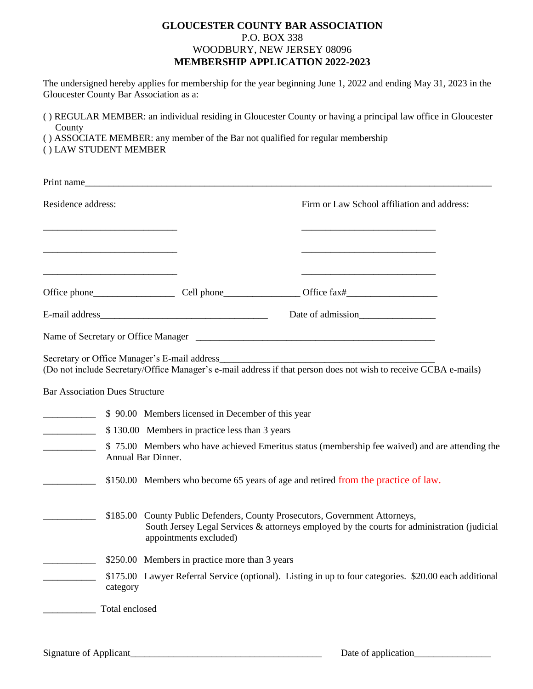## **GLOUCESTER COUNTY BAR ASSOCIATION** P.O. BOX 338 WOODBURY, NEW JERSEY 08096 **MEMBERSHIP APPLICATION 2022-2023**

The undersigned hereby applies for membership for the year beginning June 1, 2022 and ending May 31, 2023 in the Gloucester County Bar Association as a:

( ) REGULAR MEMBER: an individual residing in Gloucester County or having a principal law office in Gloucester County

- ( ) ASSOCIATE MEMBER: any member of the Bar not qualified for regular membership
- ( ) LAW STUDENT MEMBER

|                                                                   | Print name                                                                                                                                                                                           |                                                                                                                      |
|-------------------------------------------------------------------|------------------------------------------------------------------------------------------------------------------------------------------------------------------------------------------------------|----------------------------------------------------------------------------------------------------------------------|
| Residence address:                                                |                                                                                                                                                                                                      | Firm or Law School affiliation and address:                                                                          |
| <u> 1989 - Johann John Stone, mars eta biztanleria (h. 1908).</u> |                                                                                                                                                                                                      | <u> 1989 - Johann Harry Barn, mars ar breist fan de Fryske kampen oantal fan de Fryske kampen oantal fan de Frys</u> |
|                                                                   |                                                                                                                                                                                                      |                                                                                                                      |
|                                                                   |                                                                                                                                                                                                      |                                                                                                                      |
|                                                                   |                                                                                                                                                                                                      |                                                                                                                      |
|                                                                   |                                                                                                                                                                                                      |                                                                                                                      |
|                                                                   | Secretary or Office Manager's E-mail address                                                                                                                                                         | (Do not include Secretary/Office Manager's e-mail address if that person does not wish to receive GCBA e-mails)      |
| <b>Bar Association Dues Structure</b>                             |                                                                                                                                                                                                      |                                                                                                                      |
|                                                                   | S 90.00 Members licensed in December of this year                                                                                                                                                    |                                                                                                                      |
|                                                                   | \$130.00 Members in practice less than 3 years                                                                                                                                                       |                                                                                                                      |
|                                                                   | Annual Bar Dinner.                                                                                                                                                                                   | \$75.00 Members who have achieved Emeritus status (membership fee waived) and are attending the                      |
|                                                                   |                                                                                                                                                                                                      | \$150.00 Members who become 65 years of age and retired from the practice of law.                                    |
|                                                                   | \$185.00 County Public Defenders, County Prosecutors, Government Attorneys,<br>South Jersey Legal Services & attorneys employed by the courts for administration (judicial<br>appointments excluded) |                                                                                                                      |
|                                                                   | \$250.00 Members in practice more than 3 years                                                                                                                                                       |                                                                                                                      |
| category                                                          |                                                                                                                                                                                                      | \$175.00 Lawyer Referral Service (optional). Listing in up to four categories. \$20.00 each additional               |
| Total enclosed                                                    |                                                                                                                                                                                                      |                                                                                                                      |